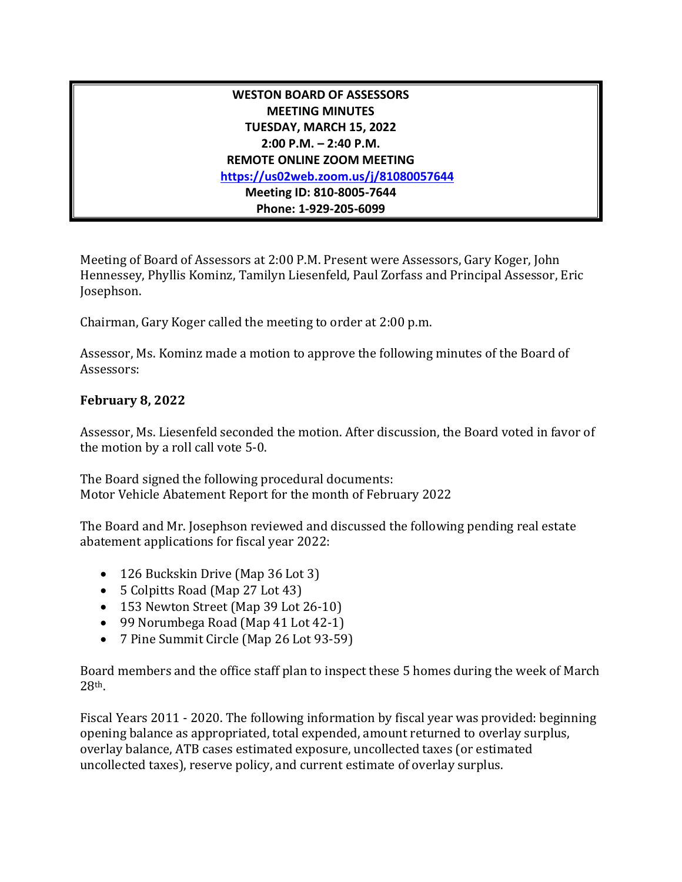## **WESTON BOARD OF ASSESSORS MEETING MINUTES TUESDAY, MARCH 15, 2022 2:00 P.M. – 2:40 P.M. REMOTE ONLINE ZOOM MEETING <https://us02web.zoom.us/j/81080057644> Meeting ID: 810-8005-7644 Phone: 1-929-205-6099**

Meeting of Board of Assessors at 2:00 P.M. Present were Assessors, Gary Koger, John Hennessey, Phyllis Kominz, Tamilyn Liesenfeld, Paul Zorfass and Principal Assessor, Eric Josephson.

Chairman, Gary Koger called the meeting to order at 2:00 p.m.

Assessor, Ms. Kominz made a motion to approve the following minutes of the Board of Assessors:

## **February 8, 2022**

Assessor, Ms. Liesenfeld seconded the motion. After discussion, the Board voted in favor of the motion by a roll call vote 5-0.

The Board signed the following procedural documents: Motor Vehicle Abatement Report for the month of February 2022

The Board and Mr. Josephson reviewed and discussed the following pending real estate abatement applications for fiscal year 2022:

- 126 Buckskin Drive (Map 36 Lot 3)
- 5 Colpitts Road (Map 27 Lot 43)
- 153 Newton Street (Map 39 Lot 26-10)
- 99 Norumbega Road (Map 41 Lot 42-1)
- 7 Pine Summit Circle (Map 26 Lot 93-59)

Board members and the office staff plan to inspect these 5 homes during the week of March 28th.

Fiscal Years 2011 - 2020. The following information by fiscal year was provided: beginning opening balance as appropriated, total expended, amount returned to overlay surplus, overlay balance, ATB cases estimated exposure, uncollected taxes (or estimated uncollected taxes), reserve policy, and current estimate of overlay surplus.